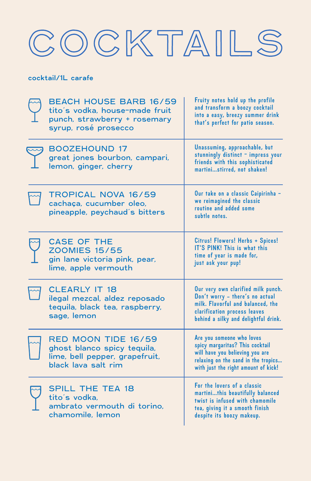# COCKTAILS

#### cocktail/1L carafe

| <b>BEACH HOUSE BARB 16/59</b><br>tito's vodka, house-made fruit<br>punch, strawberry + rosemary<br>syrup, rosé prosecco | Fruity notes hold up the profile<br>and transform a boozy cocktail<br>into a easy, breezy summer drink<br>that's perfect for patio season.                                         |
|-------------------------------------------------------------------------------------------------------------------------|------------------------------------------------------------------------------------------------------------------------------------------------------------------------------------|
| <b>BOOZEHOUND 17</b><br>great jones bourbon, campari,<br>lemon, ginger, cherry                                          | Unassuming, approachable, but<br>stunningly distinct - impress your<br>friends with this sophisticated<br>martinistirred, not shaken!                                              |
| <b>TROPICAL NOVA 16/59</b><br>cachaça, cucumber oleo,<br>pineapple, peychaud's bitters                                  | Our take on a classic Caipirinha -<br>we reimagined the classic<br>routine and added some<br>subtle notes.                                                                         |
| <b>CASE OF THE</b><br><b>ZOOMIES 15/55</b><br>gin lane victoria pink, pear,<br>lime, apple vermouth                     | Citrus! Flowers! Herbs + Spices!<br>IT'S PINK! This is what this<br>time of year is made for,<br>just ask your pup!                                                                |
| <b>CLEARLY IT 18</b><br>ilegal mezcal, aldez reposado<br>tequila, black tea, raspberry,<br>sage, lemon                  | Our very own clarified milk punch.<br>Don't worry - there's no actual<br>milk. Flavorful and balanced, the<br>clarification process leaves<br>behind a silky and delightful drink. |
| RED MOON TIDE 16/59<br>ghost blanco spicy tequila,<br>lime, bell pepper, grapefruit,<br>black lava salt rim             | Are you someone who loves<br>spicy margaritas? This cocktail<br>will have you believing you are<br>relaxing on the sand in the tropics<br>with just the right amount of kick!      |
| <b>SPILL THE TEA 18</b><br>tito's vodka,<br>ambrato vermouth di torino,<br>chamomile, lemon                             | For the lovers of a classic<br>martinithis beautifully balanced<br>twist is infused with chamomile<br>tea, giving it a smooth finish<br>despite its boozy makeup.                  |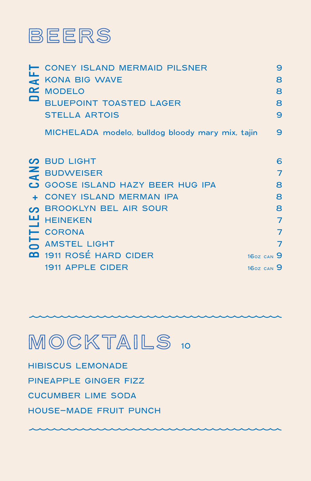

|                | <b>CONEY ISLAND MERMAID PILSNER</b>              |                | 9 |
|----------------|--------------------------------------------------|----------------|---|
| $\overline{A}$ | <b>KONA BIG WAVE</b>                             |                | 8 |
|                | MODELO                                           |                | 8 |
|                | <b>BLUEPOINT TOASTED LAGER</b>                   |                | 8 |
|                | <b>STELLA ARTOIS</b>                             |                | 9 |
|                | MICHELADA modelo, bulldog bloody mary mix, tajin |                | 9 |
|                | <b>VO BUD LIGHT</b>                              |                | 6 |
| $\mathbf{z}$   | <b>BUDWEISER</b>                                 |                | 7 |
|                | GOOSE ISLAND HAZY BEER HUG IPA                   |                | 8 |
|                | <b>CONEY ISLAND MERMAN IPA</b>                   |                | 8 |
|                | <b>BROOKLYN BEL AIR SOUR</b>                     |                | 8 |
|                | <b>HEINEKEN</b>                                  |                | 7 |
| Н              | <b>CORONA</b>                                    |                | 7 |
|                | <b>AMSTEL LIGHT</b>                              |                | 7 |
|                | <b>00</b> 1911 ROSÉ HARD CIDER                   | $160Z$ CAN $9$ |   |
|                | <b>1911 APPLE CIDER</b>                          | $160Z$ CAN $9$ |   |

### MOCKTAILS 10

HIBISCUS LEMONADE PINEAPPLE GINGER FIZZ CUCUMBER LIME SODA HOUSE-MADE FRUIT PUNCH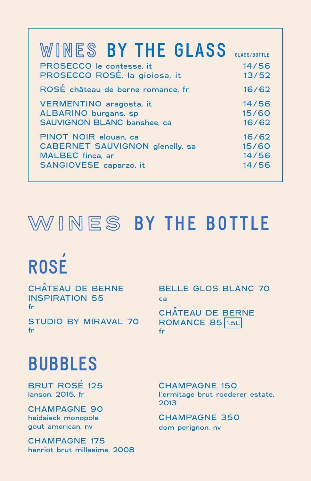| WINES BY THE GLASS                | <b>GLASS/ROTTLE</b> |
|-----------------------------------|---------------------|
| PROSECCO le contesse, it          | 14/56               |
| PROSECCO ROSÉ, la gioiosa, it     | 13/52               |
| ROSÉ château de berne romance, fr | 16/62               |
| VERMENTINO aragosta, it           | 14/56               |
| ALBARINO burgans, sp              | 15/60               |
| SAUVIGNON BLANC banshee, ca       | 16/62               |
| PINOT NOIR elouan, ca             | 16/62               |
| CABERNET SAUVIGNON glenelly, sa   | 15/60               |
| MALBEC finca, ar                  | 14/56               |
| SANGIOVESE caparzo, it            | 14/56               |

### **WINES** BY THE BOTTLE

### ' ROSE

CHATEAU DE BERNE **ˆ** INSPIRATION 55 fr

STUDIO BY MIRAVAL 70 fr

BELLE GLOS BLANC 70 ca

CHATEAU DE BERNE **ˆ ROMANCE 85 1.5L** fr

### BUBBLES

BRUT ROSE 125 lanson, 2015, fr '

CHAMPAGNE 90 heidsieck monopole gout american, nv

CHAMPAGNE 175 henriot brut millesime, 2008 CHAMPAGNE 150 l'ermitage brut roederer estate, 2013

CHAMPAGNE 350 dom perignon, nv